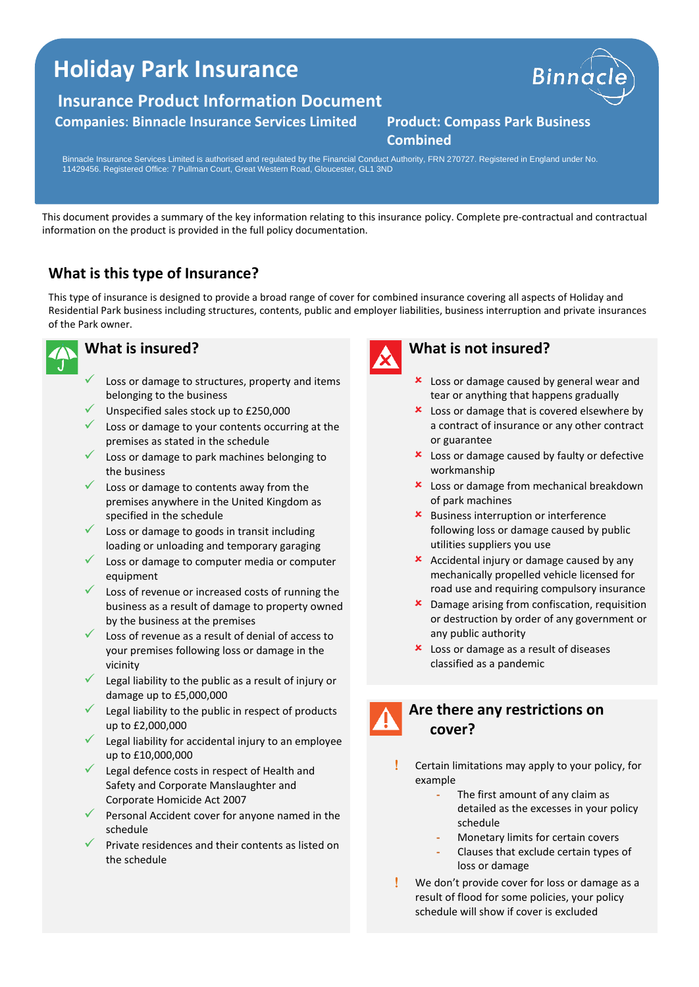# **Holiday Park Insurance**

### **Insurance Product Information Document**

#### **Companies**: **Binnacle Insurance Services Limited Product: Compass Park Business**



# **Combined**

Binnacle Insurance Services Limited is authorised and regulated by the Financial Conduct Authority, FRN 270727. Registered in England under No. 11429456. Registered Office: 7 Pullman Court, Great Western Road, Gloucester, GL1 3ND

This document provides a summary of the key information relating to this insurance policy. Complete pre-contractual and contractual information on the product is provided in the full policy documentation.

# **What is this type of Insurance?**

This type of insurance is designed to provide a broad range of cover for combined insurance covering all aspects of Holiday and Residential Park business including structures, contents, public and employer liabilities, business interruption and private insurances of the Park owner.



#### **What is insured?**

- Loss or damage to structures, property and items belonging to the business
- Unspecified sales stock up to £250,000
- Loss or damage to your contents occurring at the premises as stated in the schedule
- Loss or damage to park machines belonging to the business
- Loss or damage to contents away from the premises anywhere in the United Kingdom as specified in the schedule
- Loss or damage to goods in transit including loading or unloading and temporary garaging
- Loss or damage to computer media or computer equipment
- Loss of revenue or increased costs of running the business as a result of damage to property owned by the business at the premises
- $\checkmark$  Loss of revenue as a result of denial of access to your premises following loss or damage in the vicinity
- Legal liability to the public as a result of injury or damage up to £5,000,000
- Legal liability to the public in respect of products up to £2,000,000
- $\checkmark$  Legal liability for accidental injury to an employee up to £10,000,000
- ✓ Legal defence costs in respect of Health and Safety and Corporate Manslaughter and Corporate Homicide Act 2007
- Personal Accident cover for anyone named in the schedule
- Private residences and their contents as listed on the schedule



#### **What is not insured?**

- **x** Loss or damage caused by general wear and tear or anything that happens gradually
- $\star$  Loss or damage that is covered elsewhere by a contract of insurance or any other contract or guarantee
- **x** Loss or damage caused by faulty or defective workmanship
- **x** Loss or damage from mechanical breakdown of park machines
- **\*** Business interruption or interference following loss or damage caused by public utilities suppliers you use
- $\star$  Accidental injury or damage caused by any mechanically propelled vehicle licensed for road use and requiring compulsory insurance
- **x** Damage arising from confiscation, requisition or destruction by order of any government or any public authority
- **x** Loss or damage as a result of diseases classified as a pandemic
- **Are there any restrictions on cover?**
	- Certain limitations may apply to your policy, for example
		- **-** The first amount of any claim as detailed as the excesses in your policy schedule
		- **-** Monetary limits for certain covers
		- **-** Clauses that exclude certain types of loss or damage
	- We don't provide cover for loss or damage as a result of flood for some policies, your policy schedule will show if cover is excluded